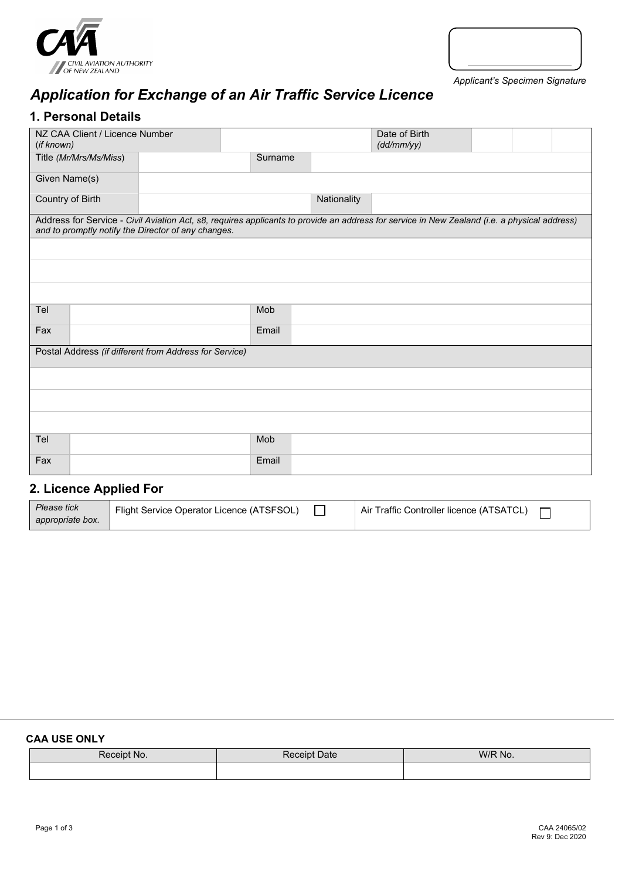



*Applicant's Specimen Signature*

# *Application for Exchange of an Air Traffic Service Licence*

### **1. Personal Details**

| NZ CAA Client / Licence Number<br>(if known)           |                                                                                                                                                                                                     |         |             | Date of Birth<br>(dd/mm/yy) |  |  |  |
|--------------------------------------------------------|-----------------------------------------------------------------------------------------------------------------------------------------------------------------------------------------------------|---------|-------------|-----------------------------|--|--|--|
| Title (Mr/Mrs/Ms/Miss)                                 |                                                                                                                                                                                                     | Surname |             |                             |  |  |  |
| Given Name(s)                                          |                                                                                                                                                                                                     |         |             |                             |  |  |  |
| Country of Birth                                       |                                                                                                                                                                                                     |         | Nationality |                             |  |  |  |
|                                                        | Address for Service - Civil Aviation Act, s8, requires applicants to provide an address for service in New Zealand (i.e. a physical address)<br>and to promptly notify the Director of any changes. |         |             |                             |  |  |  |
|                                                        |                                                                                                                                                                                                     |         |             |                             |  |  |  |
|                                                        |                                                                                                                                                                                                     |         |             |                             |  |  |  |
|                                                        |                                                                                                                                                                                                     |         |             |                             |  |  |  |
| Tel                                                    |                                                                                                                                                                                                     | Mob     |             |                             |  |  |  |
| Fax                                                    |                                                                                                                                                                                                     | Email   |             |                             |  |  |  |
| Postal Address (if different from Address for Service) |                                                                                                                                                                                                     |         |             |                             |  |  |  |
|                                                        |                                                                                                                                                                                                     |         |             |                             |  |  |  |
|                                                        |                                                                                                                                                                                                     |         |             |                             |  |  |  |
|                                                        |                                                                                                                                                                                                     |         |             |                             |  |  |  |
| Tel                                                    |                                                                                                                                                                                                     | Mob     |             |                             |  |  |  |
| Fax                                                    |                                                                                                                                                                                                     | Email   |             |                             |  |  |  |

## **2. Licence Applied For**

| Please tick      | Flight Service Operator Licence (ATSFSOL) | Air Traffic Controller licence (ATSATCL) |
|------------------|-------------------------------------------|------------------------------------------|
| appropriate box. |                                           |                                          |

#### **CAA USE ONLY**

| اامہم ک<br>-No<br>IV. | <b>Date</b><br><sup>19</sup> Cein∟. | W/R No. |
|-----------------------|-------------------------------------|---------|
|                       |                                     |         |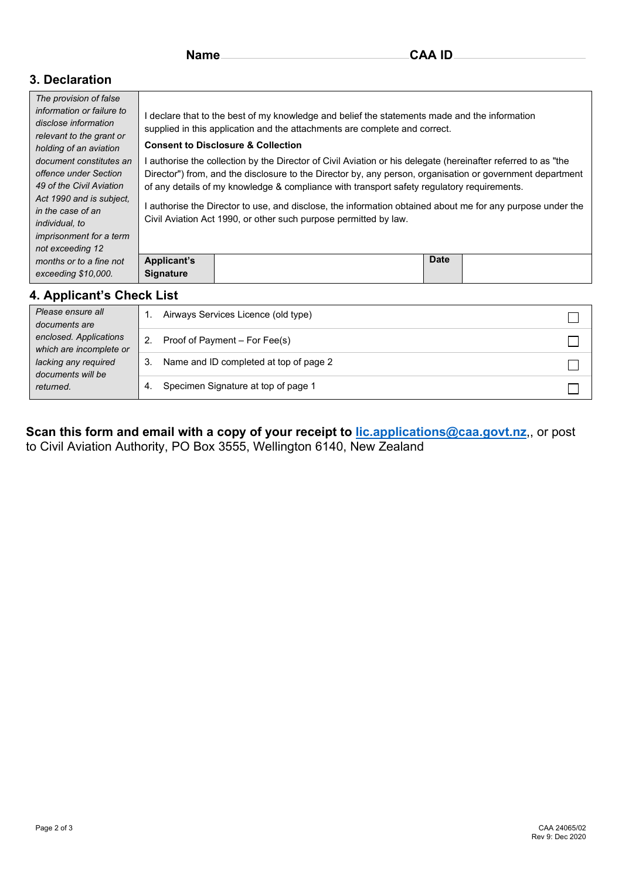### **3. Declaration**

| The provision of false<br>information or failure to<br>disclose information<br>relevant to the grant or<br>holding of an aviation<br>document constitutes an<br>offence under Section<br>49 of the Civil Aviation<br>Act 1990 and is subject.<br>in the case of an<br>individual, to<br><i>imprisonment for a term</i><br>not exceeding 12 | declare that to the best of my knowledge and belief the statements made and the information<br>supplied in this application and the attachments are complete and correct.<br><b>Consent to Disclosure &amp; Collection</b><br>authorise the collection by the Director of Civil Aviation or his delegate (hereinafter referred to as "the<br>Director") from, and the disclosure to the Director by, any person, organisation or government department<br>of any details of my knowledge & compliance with transport safety regulatory requirements.<br>authorise the Director to use, and disclose, the information obtained about me for any purpose under the<br>Civil Aviation Act 1990, or other such purpose permitted by law. |             |  |  |  |
|--------------------------------------------------------------------------------------------------------------------------------------------------------------------------------------------------------------------------------------------------------------------------------------------------------------------------------------------|--------------------------------------------------------------------------------------------------------------------------------------------------------------------------------------------------------------------------------------------------------------------------------------------------------------------------------------------------------------------------------------------------------------------------------------------------------------------------------------------------------------------------------------------------------------------------------------------------------------------------------------------------------------------------------------------------------------------------------------|-------------|--|--|--|
| months or to a fine not<br>exceeding \$10,000.                                                                                                                                                                                                                                                                                             | <b>Applicant's</b><br><b>Signature</b>                                                                                                                                                                                                                                                                                                                                                                                                                                                                                                                                                                                                                                                                                               | <b>Date</b> |  |  |  |

| Please ensure all<br>documents are<br>enclosed. Applications<br>which are incomplete or<br>lacking any required<br>documents will be<br>returned. | Airways Services Licence (old type)          |  |
|---------------------------------------------------------------------------------------------------------------------------------------------------|----------------------------------------------|--|
|                                                                                                                                                   | Proof of Payment – For Fee(s)                |  |
|                                                                                                                                                   | Name and ID completed at top of page 2<br>3. |  |
|                                                                                                                                                   | Specimen Signature at top of page 1<br>4.    |  |

**Scan this form and email with a copy of your receipt to [lic.applications@caa.govt.nz](mailto:lic.applications@caa.govt.nz)**,, or post to Civil Aviation Authority, PO Box 3555, Wellington 6140, New Zealand